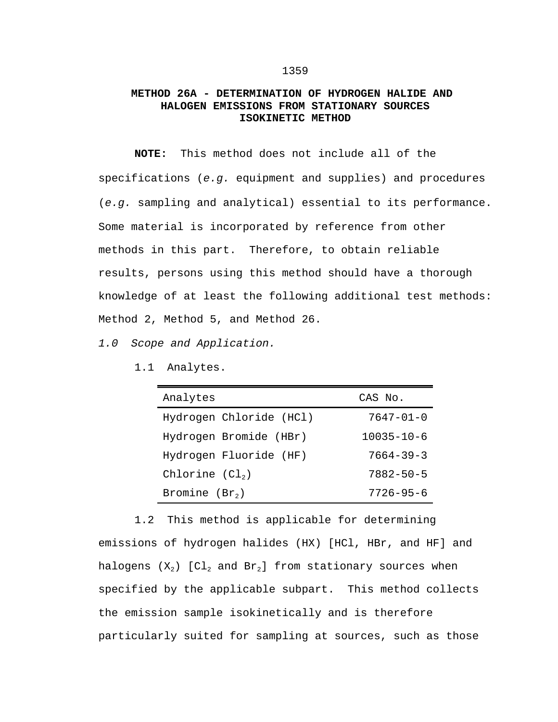## **METHOD 26A - DETERMINATION OF HYDROGEN HALIDE AND HALOGEN EMISSIONS FROM STATIONARY SOURCES ISOKINETIC METHOD**

**NOTE:** This method does not include all of the specifications (*e.g.* equipment and supplies) and procedures (*e.g.* sampling and analytical) essential to its performance. Some material is incorporated by reference from other methods in this part. Therefore, to obtain reliable results, persons using this method should have a thorough knowledge of at least the following additional test methods: Method 2, Method 5, and Method 26.

*1.0 Scope and Application.*

1.1 Analytes.

| Analytes                | CAS No.          |
|-------------------------|------------------|
| Hydrogen Chloride (HCl) | $7647 - 01 - 0$  |
| Hydrogen Bromide (HBr)  | $10035 - 10 - 6$ |
| Hydrogen Fluoride (HF)  | $7664 - 39 - 3$  |
| Chlorine $(Cl2)$        | $7882 - 50 - 5$  |
| Bromine $(Br2)$         | $7726 - 95 - 6$  |

1.2 This method is applicable for determining emissions of hydrogen halides (HX) [HCl, HBr, and HF] and halogens  $(X_2)$  [Cl<sub>2</sub> and Br<sub>2</sub>] from stationary sources when specified by the applicable subpart. This method collects the emission sample isokinetically and is therefore particularly suited for sampling at sources, such as those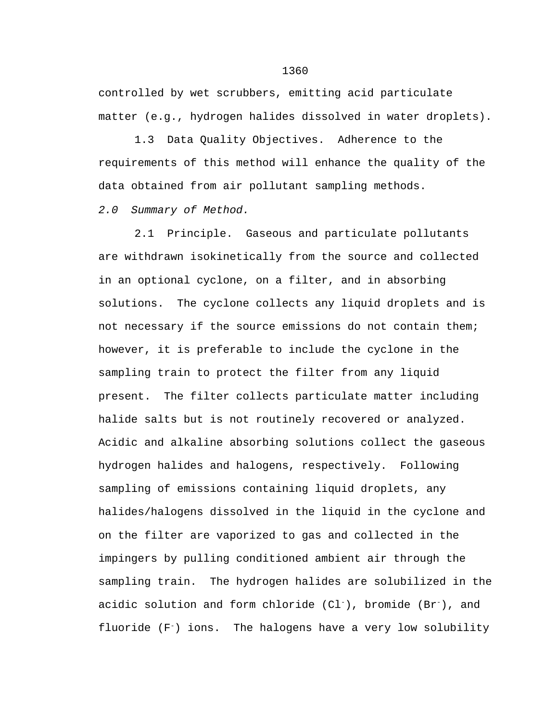controlled by wet scrubbers, emitting acid particulate matter (e.g., hydrogen halides dissolved in water droplets).

1.3 Data Quality Objectives. Adherence to the requirements of this method will enhance the quality of the data obtained from air pollutant sampling methods.

*2.0 Summary of Method.*

2.1 Principle. Gaseous and particulate pollutants are withdrawn isokinetically from the source and collected in an optional cyclone, on a filter, and in absorbing solutions. The cyclone collects any liquid droplets and is not necessary if the source emissions do not contain them; however, it is preferable to include the cyclone in the sampling train to protect the filter from any liquid present. The filter collects particulate matter including halide salts but is not routinely recovered or analyzed. Acidic and alkaline absorbing solutions collect the gaseous hydrogen halides and halogens, respectively. Following sampling of emissions containing liquid droplets, any halides/halogens dissolved in the liquid in the cyclone and on the filter are vaporized to gas and collected in the impingers by pulling conditioned ambient air through the sampling train. The hydrogen halides are solubilized in the acidic solution and form chloride  $(Cl^-)$ , bromide  $(Br^-)$ , and fluoride  $(F^-)$  ions. The halogens have a very low solubility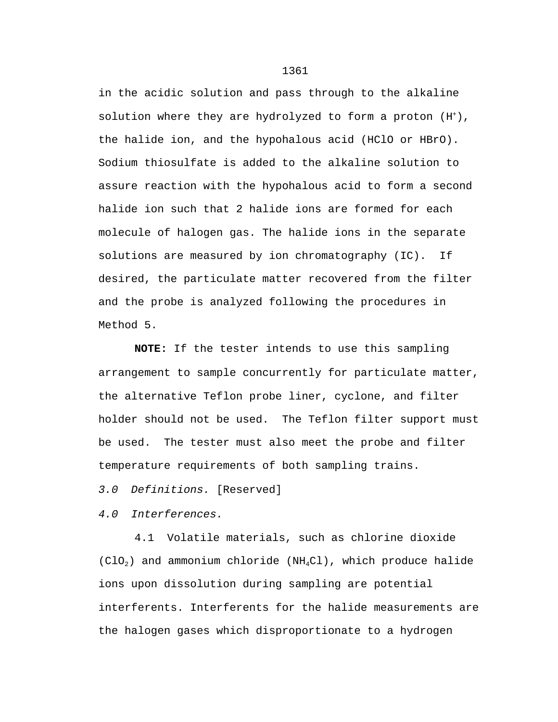in the acidic solution and pass through to the alkaline solution where they are hydrolyzed to form a proton  $(H^+)$ , the halide ion, and the hypohalous acid (HClO or HBrO). Sodium thiosulfate is added to the alkaline solution to assure reaction with the hypohalous acid to form a second halide ion such that 2 halide ions are formed for each molecule of halogen gas. The halide ions in the separate solutions are measured by ion chromatography (IC). If desired, the particulate matter recovered from the filter and the probe is analyzed following the procedures in Method 5.

**NOTE:** If the tester intends to use this sampling arrangement to sample concurrently for particulate matter, the alternative Teflon probe liner, cyclone, and filter holder should not be used. The Teflon filter support must be used. The tester must also meet the probe and filter temperature requirements of both sampling trains.

*3.0 Definitions.* [Reserved]

*4.0 Interferences.*

4.1 Volatile materials, such as chlorine dioxide  $(C10<sub>2</sub>)$  and ammonium chloride (NH<sub>4</sub>Cl), which produce halide ions upon dissolution during sampling are potential interferents. Interferents for the halide measurements are the halogen gases which disproportionate to a hydrogen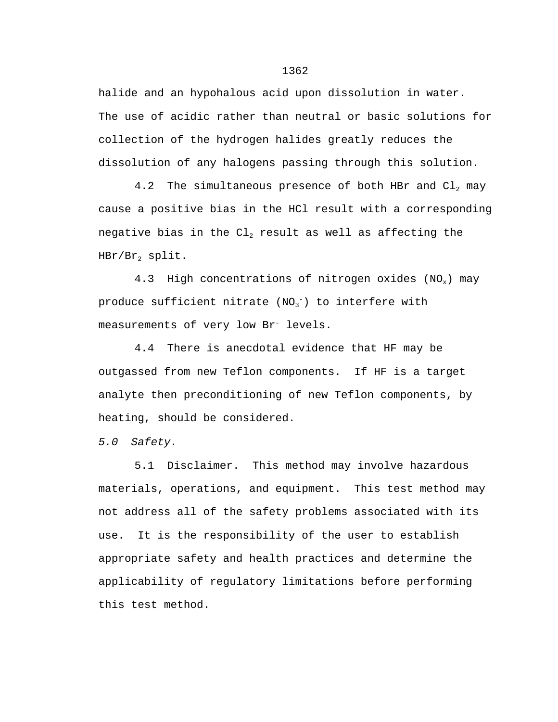halide and an hypohalous acid upon dissolution in water. The use of acidic rather than neutral or basic solutions for collection of the hydrogen halides greatly reduces the dissolution of any halogens passing through this solution.

4.2 The simultaneous presence of both HBr and  $Cl<sub>2</sub>$  may cause a positive bias in the HCl result with a corresponding negative bias in the  $Cl<sub>2</sub>$  result as well as affecting the  $HBr/Br<sub>2</sub>$  split.

4.3 High concentrations of nitrogen oxides  $(NO_x)$  may produce sufficient nitrate  $\texttt{(NO_3^-)}$  to interfere with measurements of very low Br<sup>-</sup> levels.

4.4 There is anecdotal evidence that HF may be outgassed from new Teflon components. If HF is a target analyte then preconditioning of new Teflon components, by heating, should be considered.

*5.0 Safety.*

5.1 Disclaimer. This method may involve hazardous materials, operations, and equipment. This test method may not address all of the safety problems associated with its use. It is the responsibility of the user to establish appropriate safety and health practices and determine the applicability of regulatory limitations before performing this test method.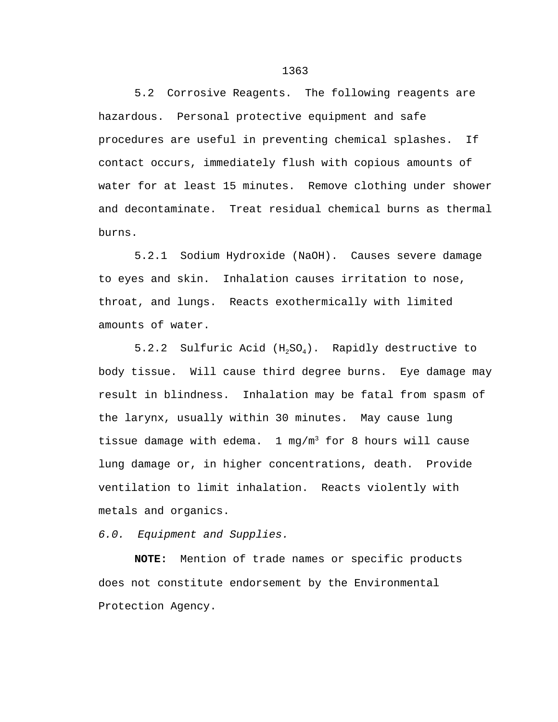5.2 Corrosive Reagents. The following reagents are hazardous. Personal protective equipment and safe procedures are useful in preventing chemical splashes. If contact occurs, immediately flush with copious amounts of water for at least 15 minutes. Remove clothing under shower and decontaminate. Treat residual chemical burns as thermal burns.

5.2.1 Sodium Hydroxide (NaOH). Causes severe damage to eyes and skin. Inhalation causes irritation to nose, throat, and lungs. Reacts exothermically with limited amounts of water.

5.2.2 Sulfuric Acid  $(H_2SO_4)$ . Rapidly destructive to body tissue. Will cause third degree burns. Eye damage may result in blindness. Inhalation may be fatal from spasm of the larynx, usually within 30 minutes. May cause lung tissue damage with edema.  $1 \text{ mg/m}^3$  for 8 hours will cause lung damage or, in higher concentrations, death. Provide ventilation to limit inhalation. Reacts violently with metals and organics.

*6.0. Equipment and Supplies.*

**NOTE:** Mention of trade names or specific products does not constitute endorsement by the Environmental Protection Agency.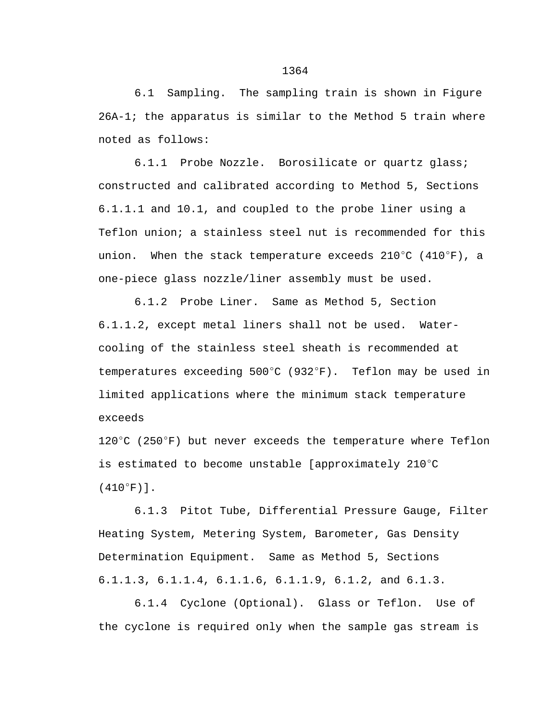6.1 Sampling. The sampling train is shown in Figure 26A-1; the apparatus is similar to the Method 5 train where noted as follows:

6.1.1 Probe Nozzle. Borosilicate or quartz glass; constructed and calibrated according to Method 5, Sections 6.1.1.1 and 10.1, and coupled to the probe liner using a Teflon union; a stainless steel nut is recommended for this union. When the stack temperature exceeds  $210^{\circ}$ C (410 $^{\circ}$ F), a one-piece glass nozzle/liner assembly must be used.

6.1.2 Probe Liner. Same as Method 5, Section 6.1.1.2, except metal liners shall not be used. Watercooling of the stainless steel sheath is recommended at temperatures exceeding  $500^{\circ}$ C (932 $^{\circ}$ F). Teflon may be used in limited applications where the minimum stack temperature exceeds

 $120^{\circ}$ C (250 $^{\circ}$ F) but never exceeds the temperature where Teflon is estimated to become unstable [approximately 210 $^{\circ}$ C  $(410^{\circ}F)$ ].

6.1.3 Pitot Tube, Differential Pressure Gauge, Filter Heating System, Metering System, Barometer, Gas Density Determination Equipment. Same as Method 5, Sections 6.1.1.3, 6.1.1.4, 6.1.1.6, 6.1.1.9, 6.1.2, and 6.1.3.

6.1.4 Cyclone (Optional). Glass or Teflon. Use of the cyclone is required only when the sample gas stream is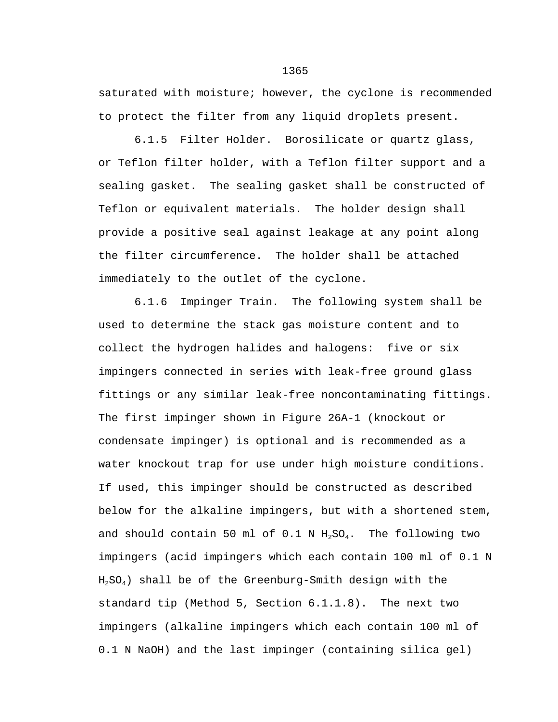saturated with moisture; however, the cyclone is recommended to protect the filter from any liquid droplets present.

6.1.5 Filter Holder. Borosilicate or quartz glass, or Teflon filter holder, with a Teflon filter support and a sealing gasket. The sealing gasket shall be constructed of Teflon or equivalent materials. The holder design shall provide a positive seal against leakage at any point along the filter circumference. The holder shall be attached immediately to the outlet of the cyclone.

6.1.6 Impinger Train. The following system shall be used to determine the stack gas moisture content and to collect the hydrogen halides and halogens: five or six impingers connected in series with leak-free ground glass fittings or any similar leak-free noncontaminating fittings. The first impinger shown in Figure 26A-1 (knockout or condensate impinger) is optional and is recommended as a water knockout trap for use under high moisture conditions. If used, this impinger should be constructed as described below for the alkaline impingers, but with a shortened stem, and should contain 50 ml of 0.1 N  $H_2SO_4$ . The following two impingers (acid impingers which each contain 100 ml of 0.1 N  $H<sub>2</sub>SO<sub>4</sub>$ ) shall be of the Greenburg-Smith design with the standard tip (Method 5, Section 6.1.1.8). The next two impingers (alkaline impingers which each contain 100 ml of 0.1 N NaOH) and the last impinger (containing silica gel)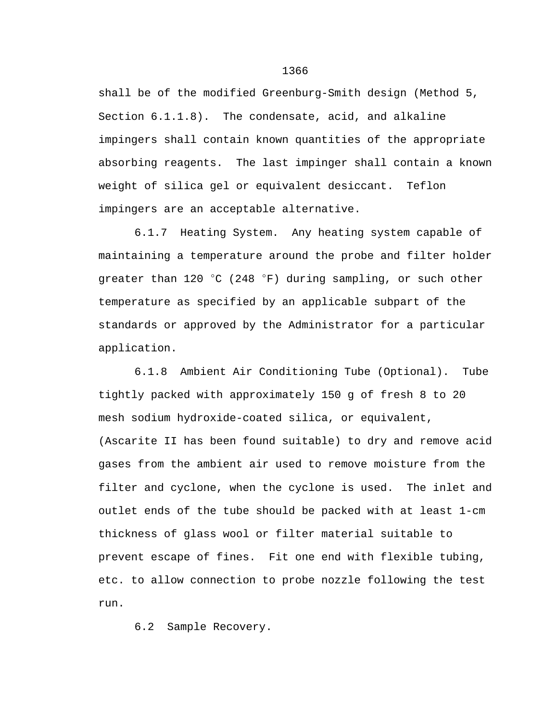shall be of the modified Greenburg-Smith design (Method 5, Section 6.1.1.8). The condensate, acid, and alkaline impingers shall contain known quantities of the appropriate absorbing reagents. The last impinger shall contain a known weight of silica gel or equivalent desiccant. Teflon impingers are an acceptable alternative.

6.1.7 Heating System. Any heating system capable of maintaining a temperature around the probe and filter holder greater than 120  $\degree$ C (248  $\degree$ F) during sampling, or such other temperature as specified by an applicable subpart of the standards or approved by the Administrator for a particular application.

6.1.8 Ambient Air Conditioning Tube (Optional). Tube tightly packed with approximately 150 g of fresh 8 to 20 mesh sodium hydroxide-coated silica, or equivalent, (Ascarite II has been found suitable) to dry and remove acid gases from the ambient air used to remove moisture from the filter and cyclone, when the cyclone is used. The inlet and outlet ends of the tube should be packed with at least 1-cm thickness of glass wool or filter material suitable to prevent escape of fines. Fit one end with flexible tubing, etc. to allow connection to probe nozzle following the test run.

6.2 Sample Recovery.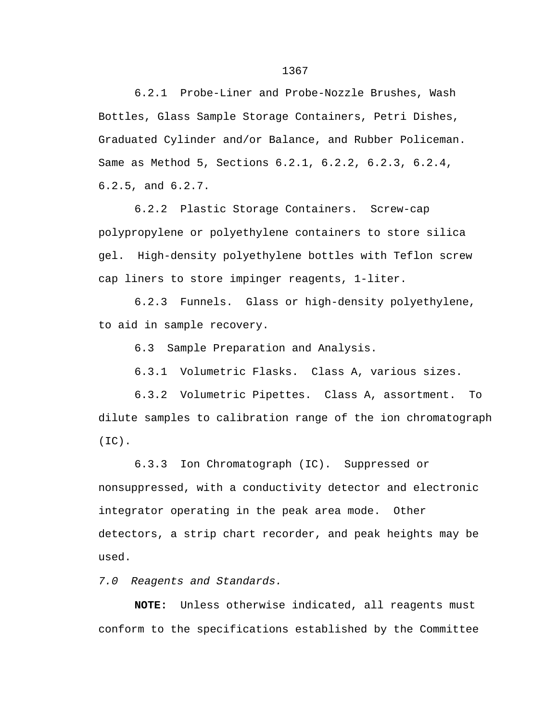6.2.1 Probe-Liner and Probe-Nozzle Brushes, Wash Bottles, Glass Sample Storage Containers, Petri Dishes, Graduated Cylinder and/or Balance, and Rubber Policeman. Same as Method 5, Sections 6.2.1, 6.2.2, 6.2.3, 6.2.4, 6.2.5, and 6.2.7.

6.2.2 Plastic Storage Containers. Screw-cap polypropylene or polyethylene containers to store silica gel. High-density polyethylene bottles with Teflon screw cap liners to store impinger reagents, 1-liter.

6.2.3 Funnels. Glass or high-density polyethylene, to aid in sample recovery.

6.3 Sample Preparation and Analysis.

6.3.1 Volumetric Flasks. Class A, various sizes.

6.3.2 Volumetric Pipettes. Class A, assortment. To dilute samples to calibration range of the ion chromatograph (IC).

6.3.3 Ion Chromatograph (IC). Suppressed or nonsuppressed, with a conductivity detector and electronic integrator operating in the peak area mode. Other detectors, a strip chart recorder, and peak heights may be used.

*7.0 Reagents and Standards.*

**NOTE:** Unless otherwise indicated, all reagents must conform to the specifications established by the Committee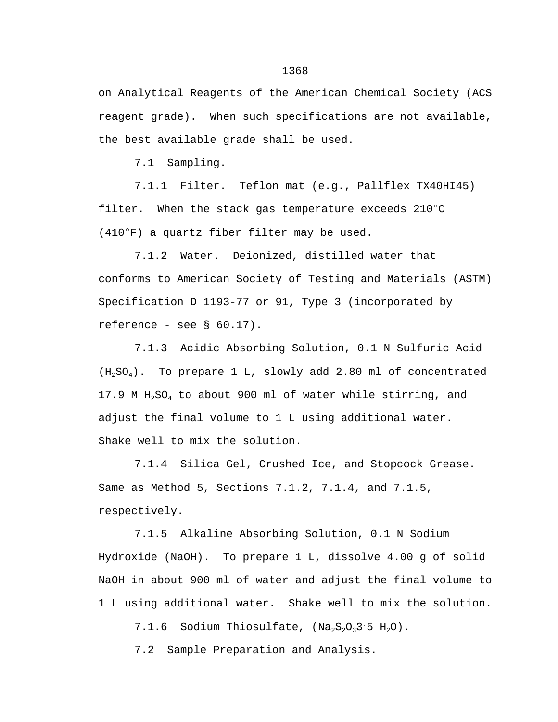on Analytical Reagents of the American Chemical Society (ACS reagent grade). When such specifications are not available, the best available grade shall be used.

7.1 Sampling.

7.1.1 Filter. Teflon mat (e.g., Pallflex TX40HI45) filter. When the stack gas temperature exceeds  $210^{\circ}$ C  $(410^{\circ}F)$  a quartz fiber filter may be used.

7.1.2 Water. Deionized, distilled water that conforms to American Society of Testing and Materials (ASTM) Specification D 1193-77 or 91, Type 3 (incorporated by reference - see  $\S$  60.17).

7.1.3 Acidic Absorbing Solution, 0.1 N Sulfuric Acid  $(H_2SO_4)$ . To prepare 1 L, slowly add 2.80 ml of concentrated 17.9 M  $H_2SO_4$  to about 900 ml of water while stirring, and adjust the final volume to 1 L using additional water. Shake well to mix the solution.

7.1.4 Silica Gel, Crushed Ice, and Stopcock Grease. Same as Method 5, Sections 7.1.2, 7.1.4, and 7.1.5, respectively.

7.1.5 Alkaline Absorbing Solution, 0.1 N Sodium Hydroxide (NaOH). To prepare 1 L, dissolve 4.00 g of solid NaOH in about 900 ml of water and adjust the final volume to 1 L using additional water. Shake well to mix the solution.

7.1.6 Sodium Thiosulfate,  $(Na_2S_2O_33.5 H_2O)$ .

7.2 Sample Preparation and Analysis.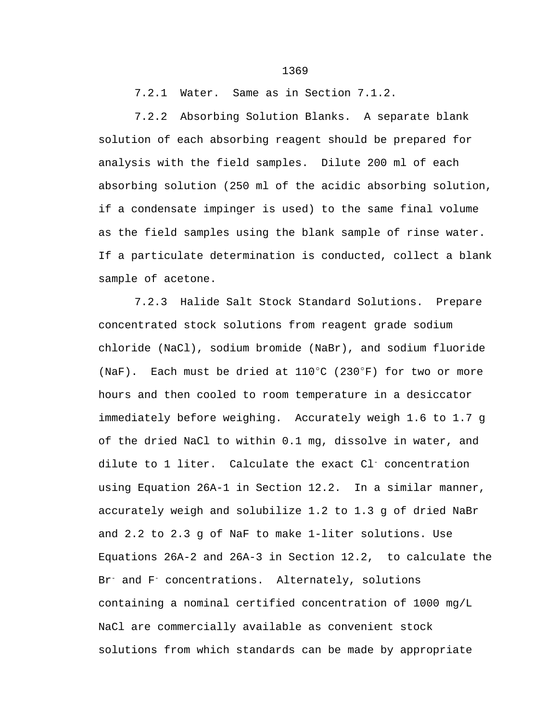7.2.1 Water. Same as in Section 7.1.2.

7.2.2 Absorbing Solution Blanks. A separate blank solution of each absorbing reagent should be prepared for analysis with the field samples. Dilute 200 ml of each absorbing solution (250 ml of the acidic absorbing solution, if a condensate impinger is used) to the same final volume as the field samples using the blank sample of rinse water. If a particulate determination is conducted, collect a blank sample of acetone.

7.2.3 Halide Salt Stock Standard Solutions. Prepare concentrated stock solutions from reagent grade sodium chloride (NaCl), sodium bromide (NaBr), and sodium fluoride (NaF). Each must be dried at  $110^{\circ}$ C (230 $^{\circ}$ F) for two or more hours and then cooled to room temperature in a desiccator immediately before weighing. Accurately weigh 1.6 to 1.7 g of the dried NaCl to within 0.1 mg, dissolve in water, and dilute to 1 liter. Calculate the exact Cl<sup>-</sup> concentration using Equation 26A-1 in Section 12.2. In a similar manner, accurately weigh and solubilize 1.2 to 1.3 g of dried NaBr and 2.2 to 2.3 g of NaF to make 1-liter solutions. Use Equations 26A-2 and 26A-3 in Section 12.2, to calculate the Br<sup>-</sup> and F<sup>-</sup> concentrations. Alternately, solutions containing a nominal certified concentration of 1000 mg/L NaCl are commercially available as convenient stock solutions from which standards can be made by appropriate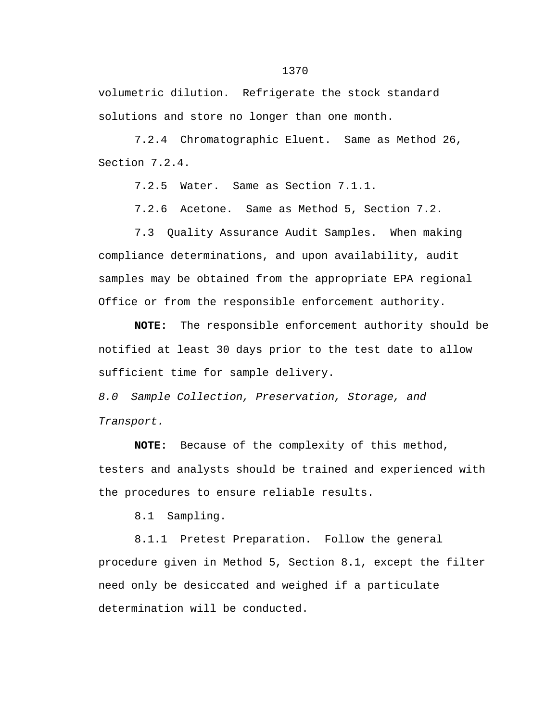volumetric dilution. Refrigerate the stock standard solutions and store no longer than one month.

7.2.4 Chromatographic Eluent. Same as Method 26, Section 7.2.4.

7.2.5 Water. Same as Section 7.1.1.

7.2.6 Acetone. Same as Method 5, Section 7.2.

7.3 Quality Assurance Audit Samples. When making compliance determinations, and upon availability, audit samples may be obtained from the appropriate EPA regional Office or from the responsible enforcement authority.

**NOTE:** The responsible enforcement authority should be notified at least 30 days prior to the test date to allow sufficient time for sample delivery.

*8.0 Sample Collection, Preservation, Storage, and Transport.*

**NOTE:** Because of the complexity of this method, testers and analysts should be trained and experienced with the procedures to ensure reliable results.

8.1 Sampling.

8.1.1 Pretest Preparation. Follow the general procedure given in Method 5, Section 8.1, except the filter need only be desiccated and weighed if a particulate determination will be conducted.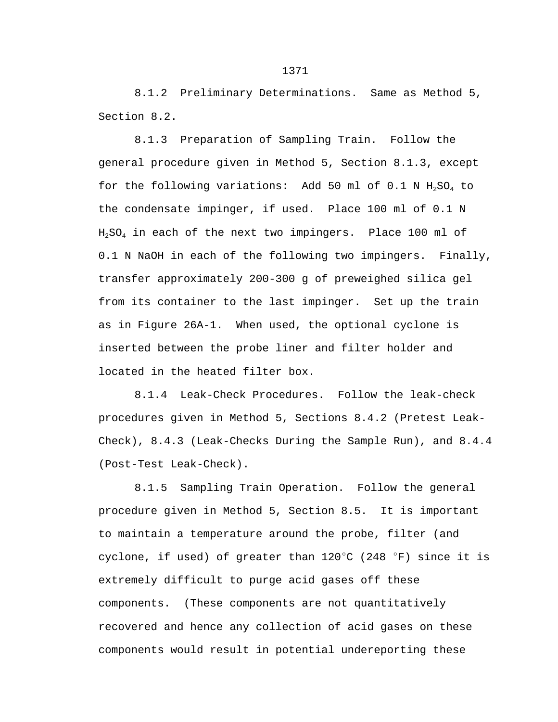8.1.2 Preliminary Determinations. Same as Method 5, Section 8.2.

8.1.3 Preparation of Sampling Train. Follow the general procedure given in Method 5, Section 8.1.3, except for the following variations: Add 50 ml of  $0.1$  N  $H_2SO_4$  to the condensate impinger, if used. Place 100 ml of 0.1 N  $H_2SO_4$  in each of the next two impingers. Place 100 ml of 0.1 N NaOH in each of the following two impingers. Finally, transfer approximately 200-300 g of preweighed silica gel from its container to the last impinger. Set up the train as in Figure 26A-1. When used, the optional cyclone is inserted between the probe liner and filter holder and located in the heated filter box.

8.1.4 Leak-Check Procedures. Follow the leak-check procedures given in Method 5, Sections 8.4.2 (Pretest Leak-Check), 8.4.3 (Leak-Checks During the Sample Run), and 8.4.4 (Post-Test Leak-Check).

8.1.5 Sampling Train Operation. Follow the general procedure given in Method 5, Section 8.5. It is important to maintain a temperature around the probe, filter (and cyclone, if used) of greater than  $120^{\circ}$ C (248  $^{\circ}$ F) since it is extremely difficult to purge acid gases off these components. (These components are not quantitatively recovered and hence any collection of acid gases on these components would result in potential undereporting these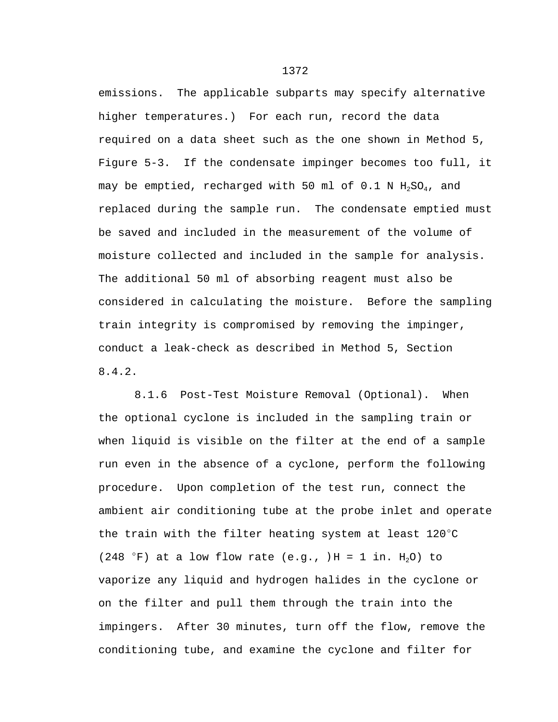emissions. The applicable subparts may specify alternative higher temperatures.) For each run, record the data required on a data sheet such as the one shown in Method 5, Figure 5-3. If the condensate impinger becomes too full, it may be emptied, recharged with 50 ml of 0.1 N  $H_2SO_4$ , and replaced during the sample run. The condensate emptied must be saved and included in the measurement of the volume of moisture collected and included in the sample for analysis. The additional 50 ml of absorbing reagent must also be considered in calculating the moisture. Before the sampling train integrity is compromised by removing the impinger, conduct a leak-check as described in Method 5, Section 8.4.2.

8.1.6 Post-Test Moisture Removal (Optional). When the optional cyclone is included in the sampling train or when liquid is visible on the filter at the end of a sample run even in the absence of a cyclone, perform the following procedure. Upon completion of the test run, connect the ambient air conditioning tube at the probe inlet and operate the train with the filter heating system at least  $120^{\circ}$ C (248 °F) at a low flow rate (e.g., )H = 1 in.  $H_2O$ ) to vaporize any liquid and hydrogen halides in the cyclone or on the filter and pull them through the train into the impingers. After 30 minutes, turn off the flow, remove the conditioning tube, and examine the cyclone and filter for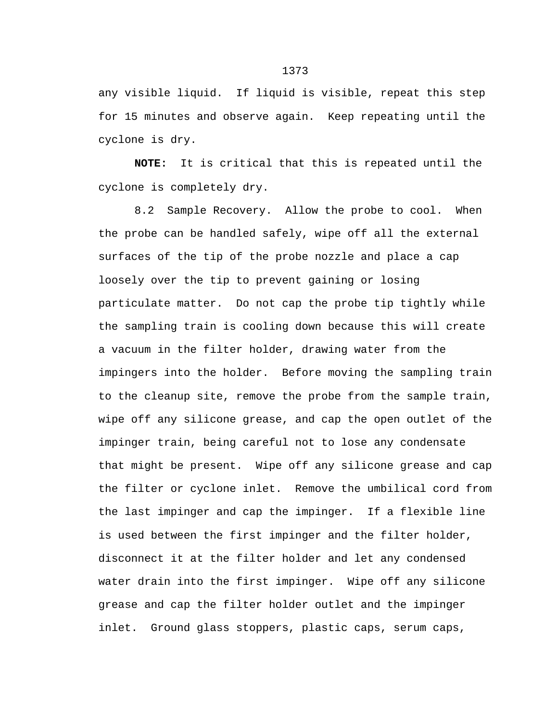any visible liquid. If liquid is visible, repeat this step for 15 minutes and observe again. Keep repeating until the cyclone is dry.

**NOTE:** It is critical that this is repeated until the cyclone is completely dry.

8.2 Sample Recovery. Allow the probe to cool. When the probe can be handled safely, wipe off all the external surfaces of the tip of the probe nozzle and place a cap loosely over the tip to prevent gaining or losing particulate matter. Do not cap the probe tip tightly while the sampling train is cooling down because this will create a vacuum in the filter holder, drawing water from the impingers into the holder. Before moving the sampling train to the cleanup site, remove the probe from the sample train, wipe off any silicone grease, and cap the open outlet of the impinger train, being careful not to lose any condensate that might be present. Wipe off any silicone grease and cap the filter or cyclone inlet. Remove the umbilical cord from the last impinger and cap the impinger. If a flexible line is used between the first impinger and the filter holder, disconnect it at the filter holder and let any condensed water drain into the first impinger. Wipe off any silicone grease and cap the filter holder outlet and the impinger inlet. Ground glass stoppers, plastic caps, serum caps,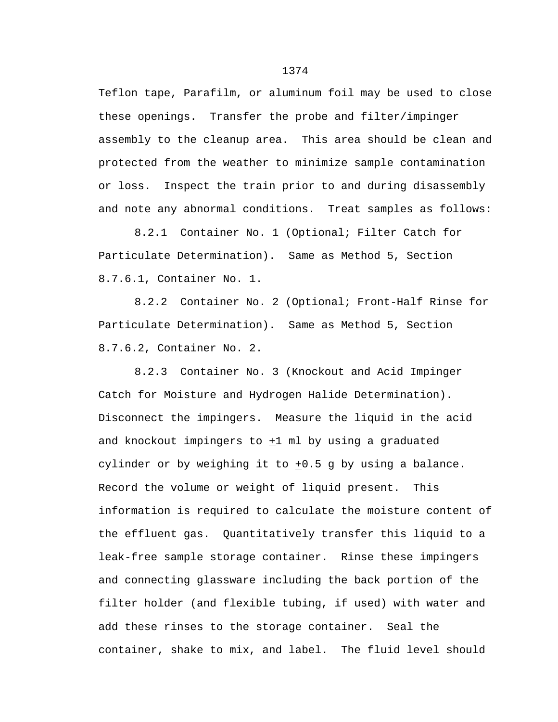Teflon tape, Parafilm, or aluminum foil may be used to close these openings. Transfer the probe and filter/impinger assembly to the cleanup area. This area should be clean and protected from the weather to minimize sample contamination or loss. Inspect the train prior to and during disassembly and note any abnormal conditions. Treat samples as follows:

8.2.1 Container No. 1 (Optional; Filter Catch for Particulate Determination). Same as Method 5, Section 8.7.6.1, Container No. 1.

8.2.2 Container No. 2 (Optional; Front-Half Rinse for Particulate Determination). Same as Method 5, Section 8.7.6.2, Container No. 2.

8.2.3 Container No. 3 (Knockout and Acid Impinger Catch for Moisture and Hydrogen Halide Determination). Disconnect the impingers. Measure the liquid in the acid and knockout impingers to +1 ml by using a graduated cylinder or by weighing it to  $+0.5$  g by using a balance. Record the volume or weight of liquid present. This information is required to calculate the moisture content of the effluent gas. Quantitatively transfer this liquid to a leak-free sample storage container. Rinse these impingers and connecting glassware including the back portion of the filter holder (and flexible tubing, if used) with water and add these rinses to the storage container. Seal the container, shake to mix, and label. The fluid level should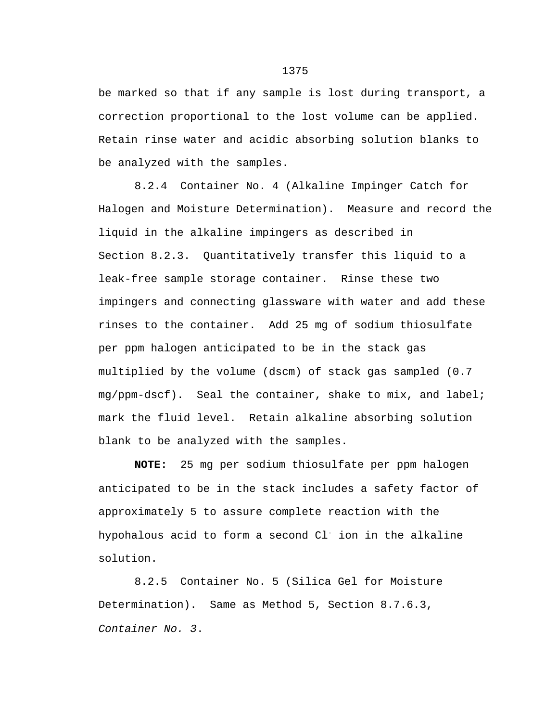be marked so that if any sample is lost during transport, a correction proportional to the lost volume can be applied. Retain rinse water and acidic absorbing solution blanks to be analyzed with the samples.

8.2.4 Container No. 4 (Alkaline Impinger Catch for Halogen and Moisture Determination). Measure and record the liquid in the alkaline impingers as described in Section 8.2.3. Quantitatively transfer this liquid to a leak-free sample storage container. Rinse these two impingers and connecting glassware with water and add these rinses to the container. Add 25 mg of sodium thiosulfate per ppm halogen anticipated to be in the stack gas multiplied by the volume (dscm) of stack gas sampled (0.7 mg/ppm-dscf). Seal the container, shake to mix, and label; mark the fluid level. Retain alkaline absorbing solution blank to be analyzed with the samples.

**NOTE:** 25 mg per sodium thiosulfate per ppm halogen anticipated to be in the stack includes a safety factor of approximately 5 to assure complete reaction with the hypohalous acid to form a second Cl<sup>-</sup> ion in the alkaline solution.

8.2.5 Container No. 5 (Silica Gel for Moisture Determination). Same as Method 5, Section 8.7.6.3, *Container No. 3*.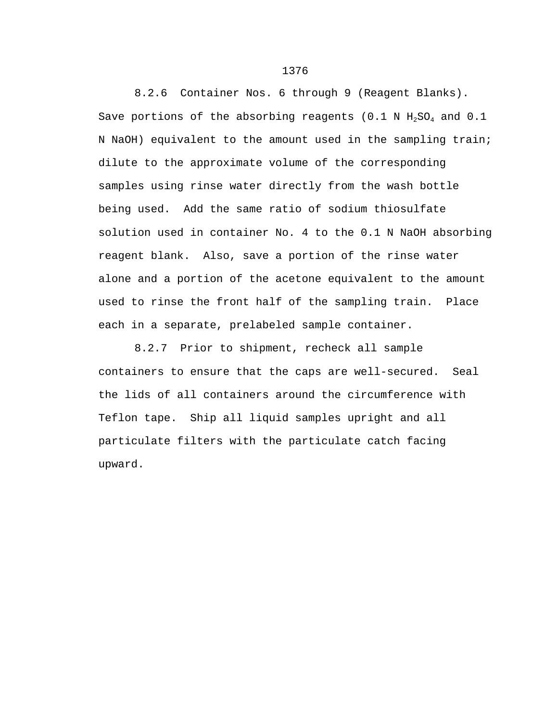8.2.6 Container Nos. 6 through 9 (Reagent Blanks). Save portions of the absorbing reagents (0.1 N  $H_2SO_4$  and 0.1 N NaOH) equivalent to the amount used in the sampling train; dilute to the approximate volume of the corresponding samples using rinse water directly from the wash bottle being used. Add the same ratio of sodium thiosulfate solution used in container No. 4 to the 0.1 N NaOH absorbing reagent blank. Also, save a portion of the rinse water alone and a portion of the acetone equivalent to the amount used to rinse the front half of the sampling train. Place each in a separate, prelabeled sample container.

8.2.7 Prior to shipment, recheck all sample containers to ensure that the caps are well-secured. Seal the lids of all containers around the circumference with Teflon tape. Ship all liquid samples upright and all particulate filters with the particulate catch facing upward.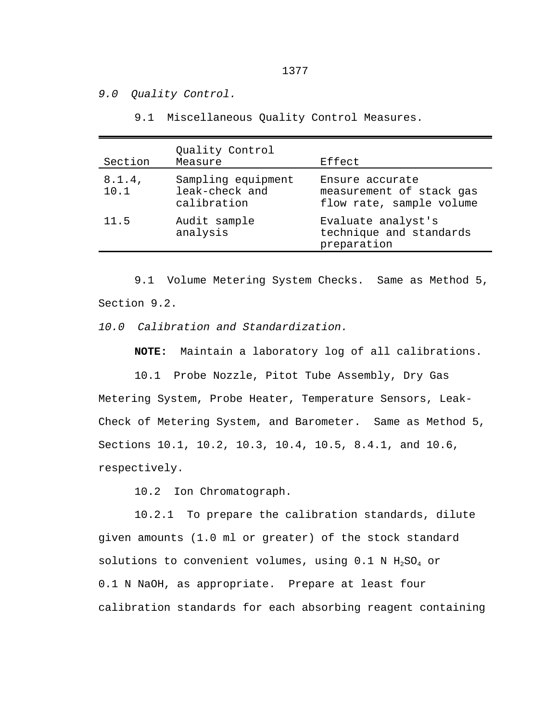*9.0 Quality Control.*

9.1 Miscellaneous Quality Control Measures.

| Section           | Quality Control<br>Measure                          | Effect                                                                  |
|-------------------|-----------------------------------------------------|-------------------------------------------------------------------------|
| $8.1.4$ ,<br>10.1 | Sampling equipment<br>leak-check and<br>calibration | Ensure accurate<br>measurement of stack gas<br>flow rate, sample volume |
| 11.5              | Audit sample<br>analysis                            | Evaluate analyst's<br>technique and standards<br>preparation            |

9.1 Volume Metering System Checks. Same as Method 5, Section 9.2.

*10.0 Calibration and Standardization.*

**NOTE:** Maintain a laboratory log of all calibrations.

10.1 Probe Nozzle, Pitot Tube Assembly, Dry Gas Metering System, Probe Heater, Temperature Sensors, Leak-Check of Metering System, and Barometer. Same as Method 5, Sections 10.1, 10.2, 10.3, 10.4, 10.5, 8.4.1, and 10.6, respectively.

10.2 Ion Chromatograph.

10.2.1 To prepare the calibration standards, dilute given amounts (1.0 ml or greater) of the stock standard solutions to convenient volumes, using  $0.1$  N  $H_2SO_4$  or 0.1 N NaOH, as appropriate. Prepare at least four calibration standards for each absorbing reagent containing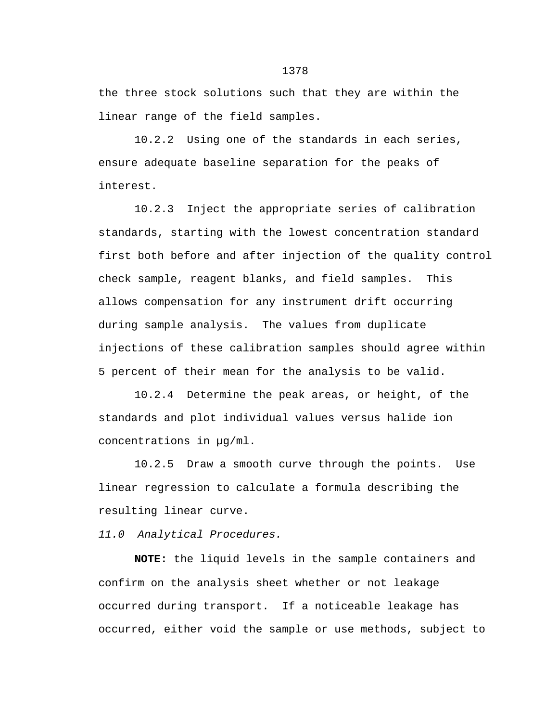the three stock solutions such that they are within the linear range of the field samples.

10.2.2 Using one of the standards in each series, ensure adequate baseline separation for the peaks of interest.

10.2.3 Inject the appropriate series of calibration standards, starting with the lowest concentration standard first both before and after injection of the quality control check sample, reagent blanks, and field samples. This allows compensation for any instrument drift occurring during sample analysis. The values from duplicate injections of these calibration samples should agree within 5 percent of their mean for the analysis to be valid.

10.2.4 Determine the peak areas, or height, of the standards and plot individual values versus halide ion concentrations in µg/ml.

10.2.5 Draw a smooth curve through the points. Use linear regression to calculate a formula describing the resulting linear curve.

*11.0 Analytical Procedures.*

**NOTE:** the liquid levels in the sample containers and confirm on the analysis sheet whether or not leakage occurred during transport. If a noticeable leakage has occurred, either void the sample or use methods, subject to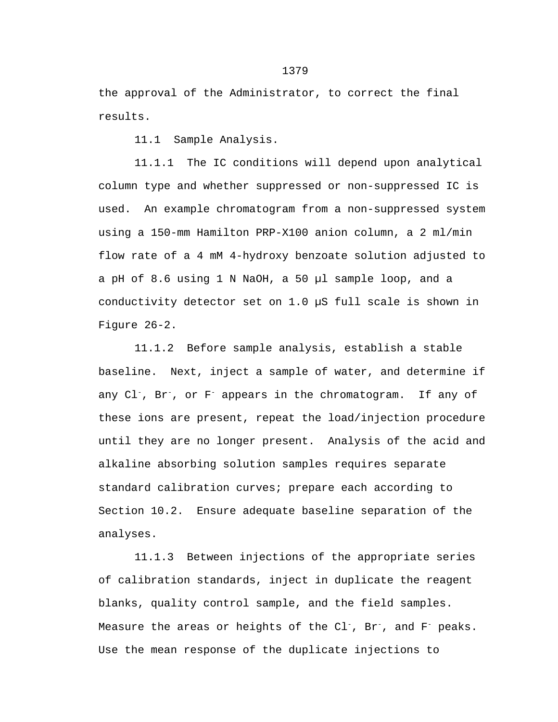the approval of the Administrator, to correct the final results.

11.1 Sample Analysis.

11.1.1 The IC conditions will depend upon analytical column type and whether suppressed or non-suppressed IC is used. An example chromatogram from a non-suppressed system using a 150-mm Hamilton PRP-X100 anion column, a 2 ml/min flow rate of a 4 mM 4-hydroxy benzoate solution adjusted to a pH of 8.6 using 1 N NaOH, a 50 µl sample loop, and a conductivity detector set on 1.0 µS full scale is shown in Figure 26-2.

11.1.2 Before sample analysis, establish a stable baseline. Next, inject a sample of water, and determine if any Cl-, Br-, or F- appears in the chromatogram. If any of these ions are present, repeat the load/injection procedure until they are no longer present. Analysis of the acid and alkaline absorbing solution samples requires separate standard calibration curves; prepare each according to Section 10.2. Ensure adequate baseline separation of the analyses.

11.1.3 Between injections of the appropriate series of calibration standards, inject in duplicate the reagent blanks, quality control sample, and the field samples. Measure the areas or heights of the  $Cl^-$ , Br<sup>-</sup>, and F<sup>-</sup> peaks. Use the mean response of the duplicate injections to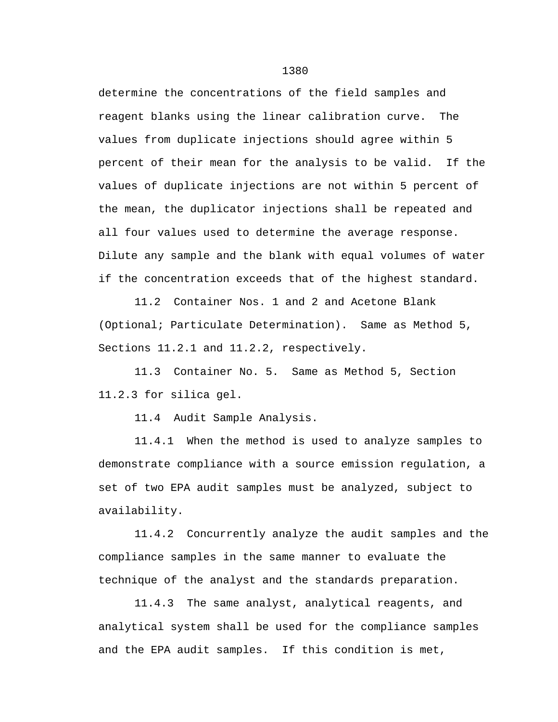determine the concentrations of the field samples and reagent blanks using the linear calibration curve. The values from duplicate injections should agree within 5 percent of their mean for the analysis to be valid. If the values of duplicate injections are not within 5 percent of the mean, the duplicator injections shall be repeated and all four values used to determine the average response. Dilute any sample and the blank with equal volumes of water if the concentration exceeds that of the highest standard.

11.2 Container Nos. 1 and 2 and Acetone Blank (Optional; Particulate Determination). Same as Method 5, Sections 11.2.1 and 11.2.2, respectively.

11.3 Container No. 5. Same as Method 5, Section 11.2.3 for silica gel.

11.4 Audit Sample Analysis.

11.4.1 When the method is used to analyze samples to demonstrate compliance with a source emission regulation, a set of two EPA audit samples must be analyzed, subject to availability.

11.4.2 Concurrently analyze the audit samples and the compliance samples in the same manner to evaluate the technique of the analyst and the standards preparation.

11.4.3 The same analyst, analytical reagents, and analytical system shall be used for the compliance samples and the EPA audit samples. If this condition is met,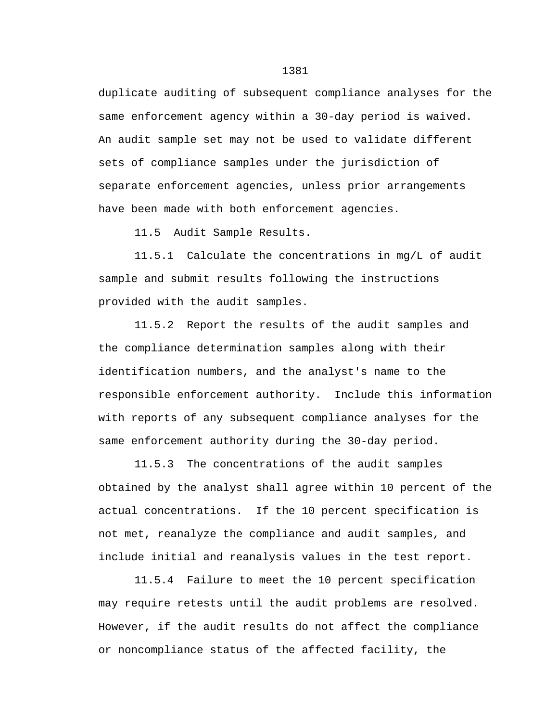duplicate auditing of subsequent compliance analyses for the same enforcement agency within a 30-day period is waived. An audit sample set may not be used to validate different sets of compliance samples under the jurisdiction of separate enforcement agencies, unless prior arrangements have been made with both enforcement agencies.

11.5 Audit Sample Results.

11.5.1 Calculate the concentrations in mg/L of audit sample and submit results following the instructions provided with the audit samples.

11.5.2 Report the results of the audit samples and the compliance determination samples along with their identification numbers, and the analyst's name to the responsible enforcement authority. Include this information with reports of any subsequent compliance analyses for the same enforcement authority during the 30-day period.

11.5.3 The concentrations of the audit samples obtained by the analyst shall agree within 10 percent of the actual concentrations. If the 10 percent specification is not met, reanalyze the compliance and audit samples, and include initial and reanalysis values in the test report.

11.5.4 Failure to meet the 10 percent specification may require retests until the audit problems are resolved. However, if the audit results do not affect the compliance or noncompliance status of the affected facility, the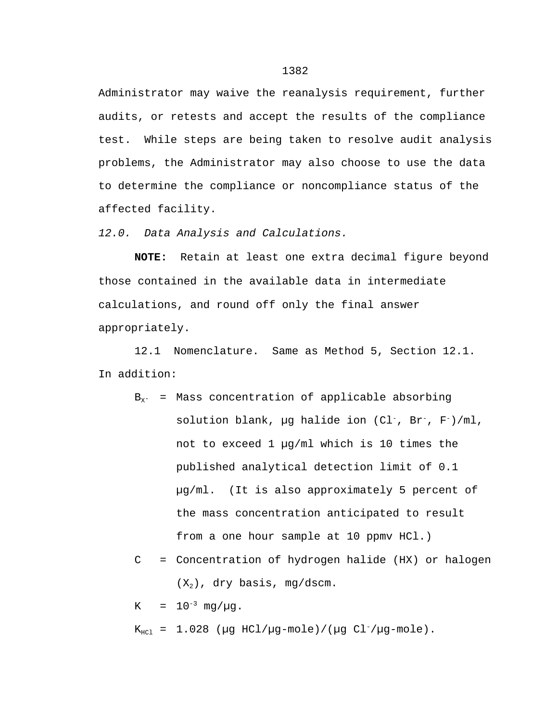Administrator may waive the reanalysis requirement, further audits, or retests and accept the results of the compliance test. While steps are being taken to resolve audit analysis problems, the Administrator may also choose to use the data to determine the compliance or noncompliance status of the affected facility.

*12.0. Data Analysis and Calculations.*

**NOTE:** Retain at least one extra decimal figure beyond those contained in the available data in intermediate calculations, and round off only the final answer appropriately.

12.1 Nomenclature. Same as Method 5, Section 12.1. In addition:

- ${\tt B}_{\tt X^-}$  = Mass concentration of applicable absorbing solution blank, µg halide ion  $(Cl^-$ ,  $Br^-$ ,  $F^-$ )/ml, not to exceed 1 µg/ml which is 10 times the published analytical detection limit of 0.1 µg/ml. (It is also approximately 5 percent of the mass concentration anticipated to result from a one hour sample at 10 ppmv HCl.)
- C = Concentration of hydrogen halide (HX) or halogen  $(X_2)$ , dry basis, mg/dscm.

K =  $10^{-3}$  mg/ $\mu$ g.

 $K_{\text{HCl}}$  = 1.028 ( $\mu$ g HCl/ $\mu$ g-mole)/( $\mu$ g Cl<sup>-</sup>/ $\mu$ g-mole).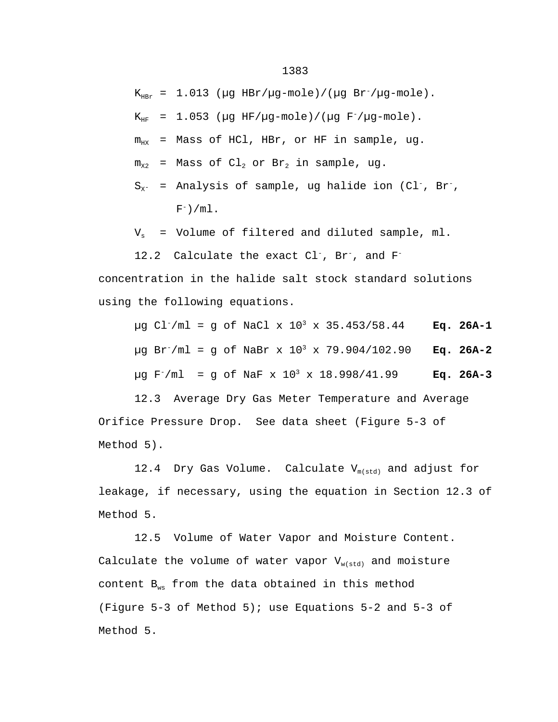$K_{HBr}$  = 1.013 ( $\mu$ g HBr/ $\mu$ g-mole)/( $\mu$ g Br<sup>-</sup>/ $\mu$ g-mole).

 $K_{HF}$  = 1.053 ( $\mu$ g HF/ $\mu$ g-mole)/( $\mu$ g F<sup>-</sup>/ $\mu$ g-mole).

 $m_{HX}$  = Mass of HCl, HBr, or HF in sample, ug.

 $m_{x2}$  = Mass of Cl<sub>2</sub> or Br<sub>2</sub> in sample, ug.

$$
S_{x^-}
$$
 = Analysis of sample, ug halide ion (Cl<sup>-</sup>, Br<sup>-</sup>,  
F<sup>-</sup>)/ml.

 $V_s$  = Volume of filtered and diluted sample, ml.

12.2 Calculate the exact Cl<sup>-</sup>, Br<sup>-</sup>, and F<sup>-</sup>

concentration in the halide salt stock standard solutions using the following equations.

µg Cl-/ml = g of NaCl x 10<sup>3</sup> x 35.453/58.44 **Eq. 26A-1** µg Br-/ml = g of NaBr x 10<sup>3</sup> x 79.904/102.90 **Eq. 26A-2** µg F-/ml = g of NaF x 10<sup>3</sup> x 18.998/41.99 **Eq. 26A-3**

12.3 Average Dry Gas Meter Temperature and Average Orifice Pressure Drop. See data sheet (Figure 5-3 of Method 5).

12.4 Dry Gas Volume. Calculate  $V_{m(std)}$  and adjust for leakage, if necessary, using the equation in Section 12.3 of Method 5.

12.5 Volume of Water Vapor and Moisture Content. Calculate the volume of water vapor  $V_{w(std)}$  and moisture content  $B_{ws}$  from the data obtained in this method (Figure 5-3 of Method 5); use Equations 5-2 and 5-3 of Method 5.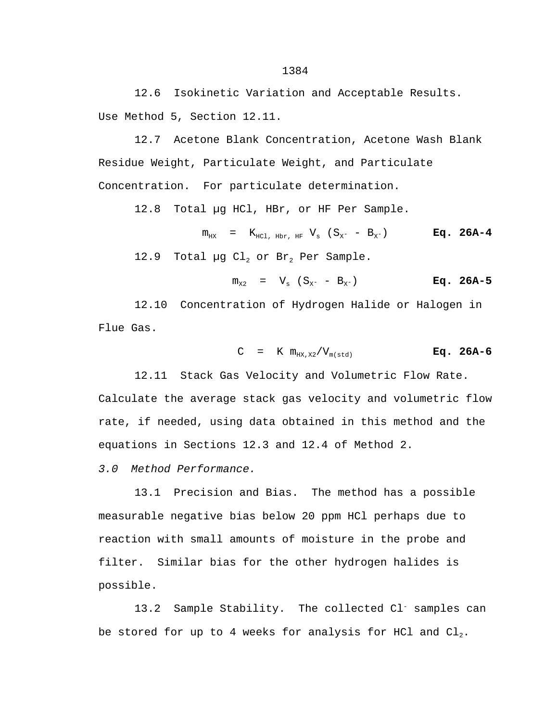12.6 Isokinetic Variation and Acceptable Results. Use Method 5, Section 12.11.

12.7 Acetone Blank Concentration, Acetone Wash Blank Residue Weight, Particulate Weight, and Particulate Concentration. For particulate determination.

12.8 Total µg HCl, HBr, or HF Per Sample.

 $m_{HX}$  =  $K_{HCL, Hbr, HF}$   $V_s$  ( $S_{X^-}$  -  $B_{X^-}$ ) **Eq. 26A-4** 12.9 Total µg  $Cl_2$  or Br<sub>2</sub> Per Sample.

$$
m_{X2} = V_s (S_{X^-} - B_{X^-})
$$
 Eq. 26A-5

12.10 Concentration of Hydrogen Halide or Halogen in Flue Gas.

$$
C = K m_{HX, X2} / V_{m(stat)}
$$
 Eq. 26A-6

12.11 Stack Gas Velocity and Volumetric Flow Rate. Calculate the average stack gas velocity and volumetric flow rate, if needed, using data obtained in this method and the equations in Sections 12.3 and 12.4 of Method 2.

*3.0 Method Performance.*

13.1 Precision and Bias. The method has a possible measurable negative bias below 20 ppm HCl perhaps due to reaction with small amounts of moisture in the probe and filter. Similar bias for the other hydrogen halides is possible.

13.2 Sample Stability. The collected Cl<sup>-</sup> samples can be stored for up to 4 weeks for analysis for HCl and  $Cl_2$ .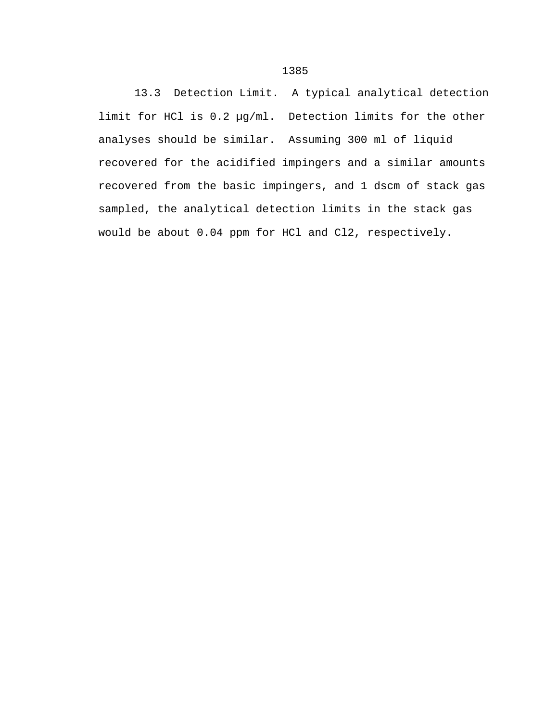13.3 Detection Limit. A typical analytical detection limit for HCl is 0.2 µg/ml. Detection limits for the other analyses should be similar. Assuming 300 ml of liquid recovered for the acidified impingers and a similar amounts recovered from the basic impingers, and 1 dscm of stack gas sampled, the analytical detection limits in the stack gas would be about 0.04 ppm for HCl and Cl2, respectively.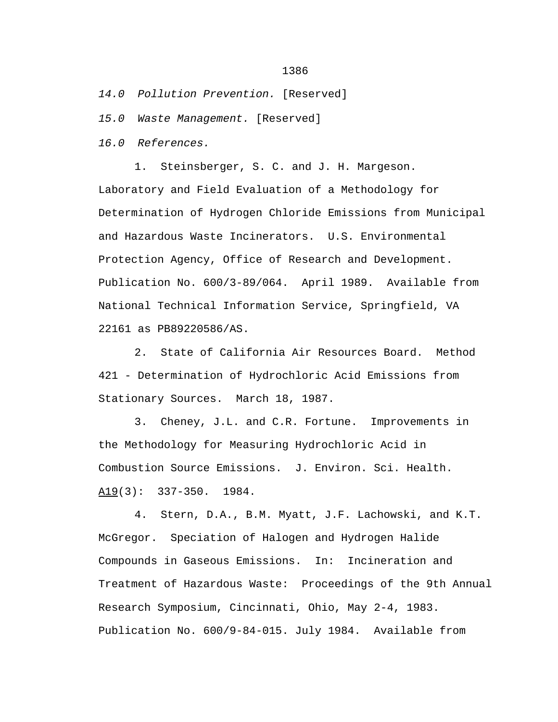*14.0 Pollution Prevention.* [Reserved]

*15.0 Waste Management.* [Reserved]

*16.0 References.*

1. Steinsberger, S. C. and J. H. Margeson. Laboratory and Field Evaluation of a Methodology for Determination of Hydrogen Chloride Emissions from Municipal and Hazardous Waste Incinerators. U.S. Environmental Protection Agency, Office of Research and Development. Publication No. 600/3-89/064. April 1989. Available from National Technical Information Service, Springfield, VA 22161 as PB89220586/AS.

2. State of California Air Resources Board. Method 421 - Determination of Hydrochloric Acid Emissions from Stationary Sources. March 18, 1987.

3. Cheney, J.L. and C.R. Fortune. Improvements in the Methodology for Measuring Hydrochloric Acid in Combustion Source Emissions. J. Environ. Sci. Health. A19(3): 337-350. 1984.

4. Stern, D.A., B.M. Myatt, J.F. Lachowski, and K.T. McGregor. Speciation of Halogen and Hydrogen Halide Compounds in Gaseous Emissions. In: Incineration and Treatment of Hazardous Waste: Proceedings of the 9th Annual Research Symposium, Cincinnati, Ohio, May 2-4, 1983. Publication No. 600/9-84-015. July 1984. Available from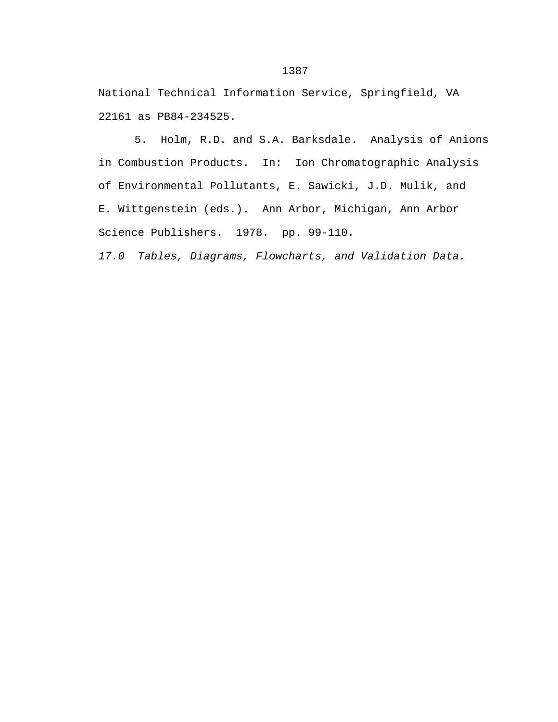National Technical Information Service, Springfield, VA 22161 as PB84-234525.

5. Holm, R.D. and S.A. Barksdale. Analysis of Anions in Combustion Products. In: Ion Chromatographic Analysis of Environmental Pollutants, E. Sawicki, J.D. Mulik, and E. Wittgenstein (eds.). Ann Arbor, Michigan, Ann Arbor Science Publishers. 1978. pp. 99-110.

*17.0 Tables, Diagrams, Flowcharts, and Validation Data.*